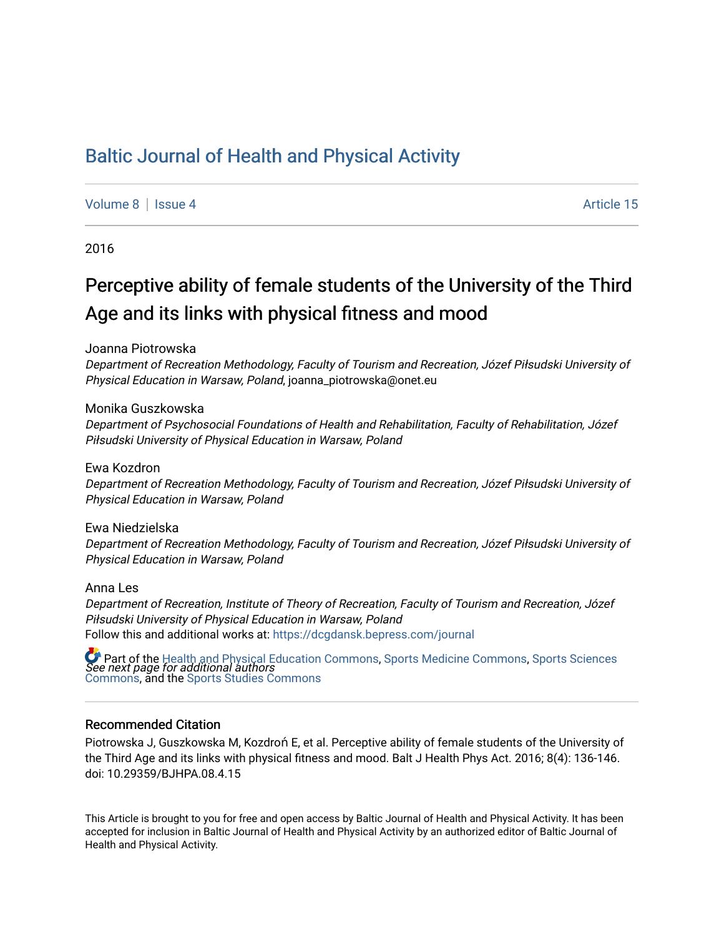# [Baltic Journal of Health and Physical Activity](https://dcgdansk.bepress.com/journal)

[Volume 8](https://dcgdansk.bepress.com/journal/vol8) | [Issue 4](https://dcgdansk.bepress.com/journal/vol8/iss4) Article 15

2016

# Perceptive ability of female students of the University of the Third Age and its links with physical fitness and mood

Joanna Piotrowska

Department of Recreation Methodology, Faculty of Tourism and Recreation, Józef Piłsudski University of Physical Education in Warsaw, Poland, joanna\_piotrowska@onet.eu

Monika Guszkowska

Department of Psychosocial Foundations of Health and Rehabilitation, Faculty of Rehabilitation, Józef Piłsudski University of Physical Education in Warsaw, Poland

Ewa Kozdron

Department of Recreation Methodology, Faculty of Tourism and Recreation, Józef Piłsudski University of Physical Education in Warsaw, Poland

Ewa Niedzielska

Department of Recreation Methodology, Faculty of Tourism and Recreation, Józef Piłsudski University of Physical Education in Warsaw, Poland

Anna Les

Department of Recreation, Institute of Theory of Recreation, Faculty of Tourism and Recreation, Józef Piłsudski University of Physical Education in Warsaw, Poland Follow this and additional works at: [https://dcgdansk.bepress.com/journal](https://dcgdansk.bepress.com/journal?utm_source=dcgdansk.bepress.com%2Fjournal%2Fvol8%2Fiss4%2F15&utm_medium=PDF&utm_campaign=PDFCoverPages)

 $\bullet$  Part of the [Health and Physical Education Commons](http://network.bepress.com/hgg/discipline/1327?utm_source=dcgdansk.bepress.com%2Fjournal%2Fvol8%2Fiss4%2F15&utm_medium=PDF&utm_campaign=PDFCoverPages), [Sports Medicine Commons,](http://network.bepress.com/hgg/discipline/1331?utm_source=dcgdansk.bepress.com%2Fjournal%2Fvol8%2Fiss4%2F15&utm_medium=PDF&utm_campaign=PDFCoverPages) [Sports Sciences](http://network.bepress.com/hgg/discipline/759?utm_source=dcgdansk.bepress.com%2Fjournal%2Fvol8%2Fiss4%2F15&utm_medium=PDF&utm_campaign=PDFCoverPages)<br>*See next page for additional authors* [Commons](http://network.bepress.com/hgg/discipline/759?utm_source=dcgdansk.bepress.com%2Fjournal%2Fvol8%2Fiss4%2F15&utm_medium=PDF&utm_campaign=PDFCoverPages), and the [Sports Studies Commons](http://network.bepress.com/hgg/discipline/1198?utm_source=dcgdansk.bepress.com%2Fjournal%2Fvol8%2Fiss4%2F15&utm_medium=PDF&utm_campaign=PDFCoverPages) 

#### Recommended Citation

Piotrowska J, Guszkowska M, Kozdroń E, et al. Perceptive ability of female students of the University of the Third Age and its links with physical fitness and mood. Balt J Health Phys Act. 2016; 8(4): 136-146. doi: 10.29359/BJHPA.08.4.15

This Article is brought to you for free and open access by Baltic Journal of Health and Physical Activity. It has been accepted for inclusion in Baltic Journal of Health and Physical Activity by an authorized editor of Baltic Journal of Health and Physical Activity.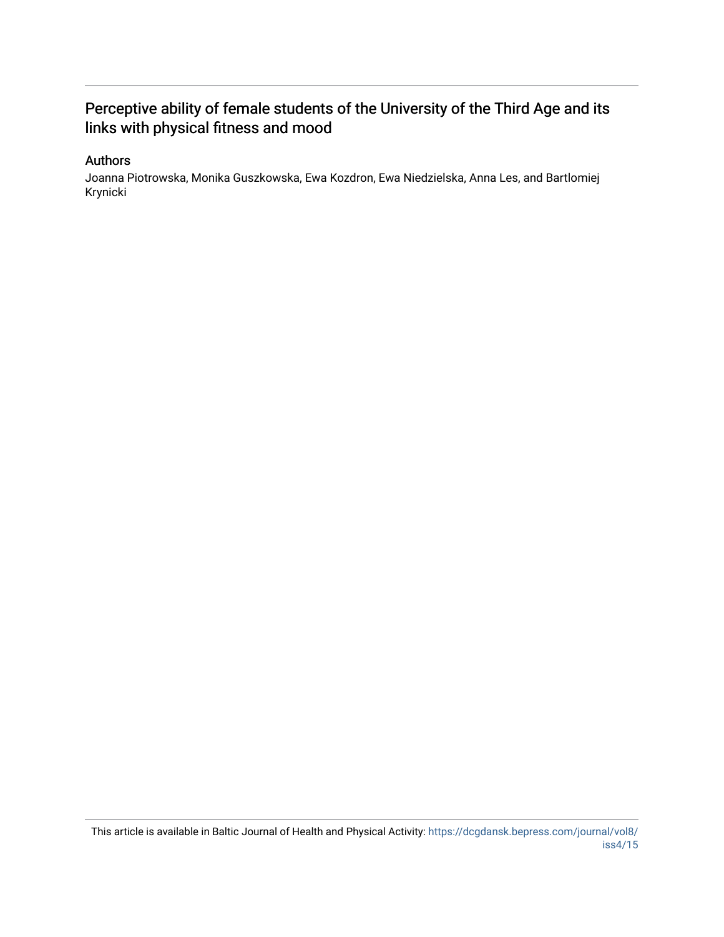## Perceptive ability of female students of the University of the Third Age and its links with physical fitness and mood

## Authors

Joanna Piotrowska, Monika Guszkowska, Ewa Kozdron, Ewa Niedzielska, Anna Les, and Bartlomiej Krynicki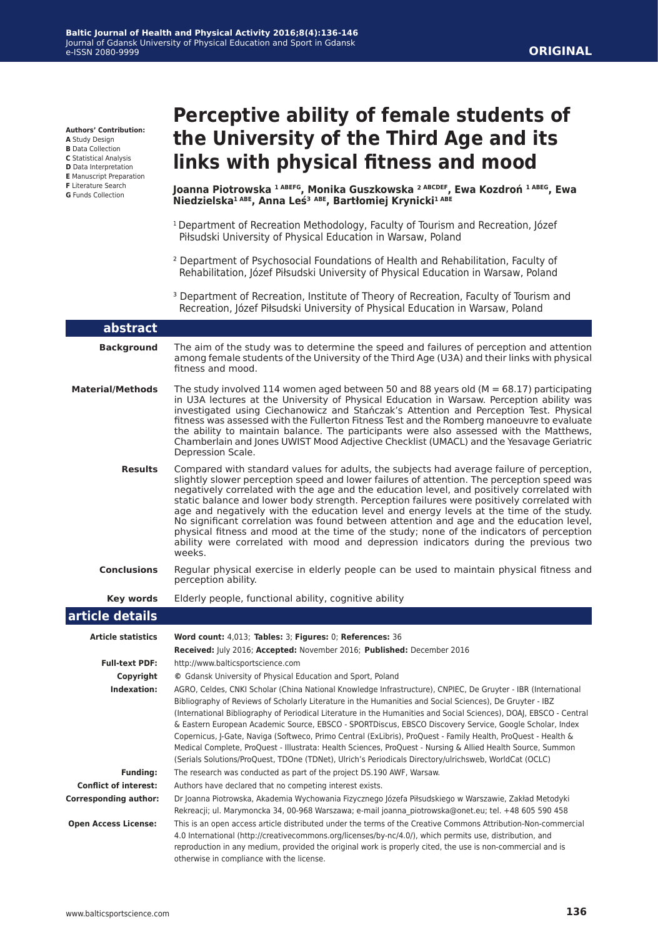**Authors' Contribution:**

**A** Study Design

- **B** Data Collection
- **C** Statistical Analysis
- **D** Data Interpretation **E** Manuscript Preparation
- **F** Literature Search
- **G** Funds Collection

# **Perceptive ability of female students of the University of the Third Age and its links with physical fitness and mood**

**Joanna Piotrowska 1 ABEFG, Monika Guszkowska ² ABCDEF, Ewa Kozdroń 1 ABEG, Ewa Niedzielska1 ABE, Anna Leś³ ABE, Bartłomiej Krynicki1 ABE**

- 1 Department of Recreation Methodology, Faculty of Tourism and Recreation, Józef Piłsudski University of Physical Education in Warsaw, Poland
- ² Department of Psychosocial Foundations of Health and Rehabilitation, Faculty of Rehabilitation, Józef Piłsudski University of Physical Education in Warsaw, Poland
- <sup>3</sup> Department of Recreation, Institute of Theory of Recreation, Faculty of Tourism and Recreation, Józef Piłsudski University of Physical Education in Warsaw, Poland

#### **article details Article statistics Word count:** 4,013; **Tables:** 3; **Figures:** 0; **References:** 36 **Received:** July 2016; **Accepted:** November 2016; **Published:** December 2016 **Full-text PDF:** http://www.balticsportscience.com **Copyright ©** Gdansk University of Physical Education and Sport, Poland **Indexation:** AGRO, Celdes, CNKI Scholar (China National Knowledge Infrastructure), CNPIEC, De Gruyter - IBR (International Bibliography of Reviews of Scholarly Literature in the Humanities and Social Sciences), De Gruyter - IBZ (International Bibliography of Periodical Literature in the Humanities and Social Sciences), DOAJ, EBSCO - Central & Eastern European Academic Source, EBSCO - SPORTDiscus, EBSCO Discovery Service, Google Scholar, Index Copernicus, J-Gate, Naviga (Softweco, Primo Central (ExLibris), ProQuest - Family Health, ProQuest - Health & Medical Complete, ProQuest - Illustrata: Health Sciences, ProQuest - Nursing & Allied Health Source, Summon (Serials Solutions/ProQuest, TDOne (TDNet), Ulrich's Periodicals Directory/ulrichsweb, WorldCat (OCLC) **Funding:** The research was conducted as part of the project DS.190 AWF, Warsaw. **Conflict of interest:** Authors have declared that no competing interest exists. **Corresponding author:** Dr Joanna Piotrowska, Akademia Wychowania Fizycznego Józefa Piłsudskiego w Warszawie, Zakład Metodyki Rekreacji; ul. Marymoncka 34, 00-968 Warszawa; e-mail joanna\_piotrowska@onet.eu; tel. +48 605 590 458  **Open Access License:** This is an open access article distributed under the terms of the Creative Commons Attribution-Non-commercial 4.0 International (http://creativecommons.org/licenses/by-nc/4.0/), which permits use, distribution, and reproduction in any medium, provided the original work is properly cited, the use is non-commercial and is **abstract Background** The aim of the study was to determine the speed and failures of perception and attention among female students of the University of the Third Age (U3A) and their links with physical fitness and mood. **Material/Methods** The study involved 114 women aged between 50 and 88 years old (M = 68.17) participating in U3A lectures at the University of Physical Education in Warsaw. Perception ability was investigated using Ciechanowicz and Stańczak's Attention and Perception Test. Physical fitness was assessed with the Fullerton Fitness Test and the Romberg manoeuvre to evaluate the ability to maintain balance. The participants were also assessed with the Matthews, Chamberlain and Jones UWIST Mood Adjective Checklist (UMACL) and the Yesavage Geriatric Depression Scale. **Results** Compared with standard values for adults, the subjects had average failure of perception, slightly slower perception speed and lower failures of attention. The perception speed was negatively correlated with the age and the education level, and positively correlated with static balance and lower body strength. Perception failures were positively correlated with age and negatively with the education level and energy levels at the time of the study. No significant correlation was found between attention and age and the education level, physical fitness and mood at the time of the study; none of the indicators of perception ability were correlated with mood and depression indicators during the previous two weeks. **Conclusions** Regular physical exercise in elderly people can be used to maintain physical fitness and perception ability. **Key words** Elderly people, functional ability, cognitive ability

otherwise in compliance with the license.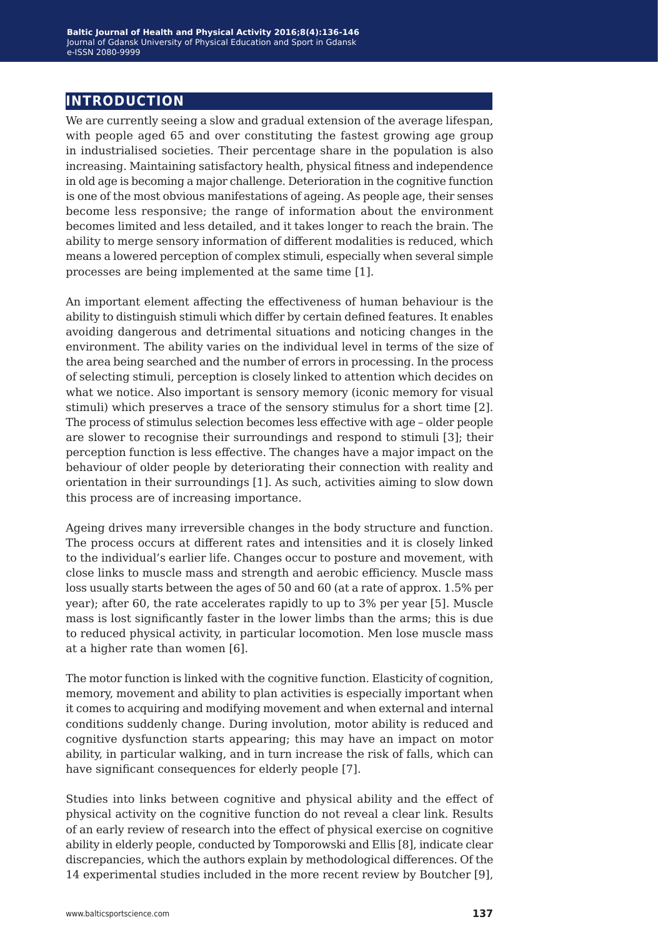## **introduction**

We are currently seeing a slow and gradual extension of the average lifespan, with people aged 65 and over constituting the fastest growing age group in industrialised societies. Their percentage share in the population is also increasing. Maintaining satisfactory health, physical fitness and independence in old age is becoming a major challenge. Deterioration in the cognitive function is one of the most obvious manifestations of ageing. As people age, their senses become less responsive; the range of information about the environment becomes limited and less detailed, and it takes longer to reach the brain. The ability to merge sensory information of different modalities is reduced, which means a lowered perception of complex stimuli, especially when several simple processes are being implemented at the same time [1].

An important element affecting the effectiveness of human behaviour is the ability to distinguish stimuli which differ by certain defined features. It enables avoiding dangerous and detrimental situations and noticing changes in the environment. The ability varies on the individual level in terms of the size of the area being searched and the number of errors in processing. In the process of selecting stimuli, perception is closely linked to attention which decides on what we notice. Also important is sensory memory (iconic memory for visual stimuli) which preserves a trace of the sensory stimulus for a short time [2]. The process of stimulus selection becomes less effective with age – older people are slower to recognise their surroundings and respond to stimuli [3]; their perception function is less effective. The changes have a major impact on the behaviour of older people by deteriorating their connection with reality and orientation in their surroundings [1]. As such, activities aiming to slow down this process are of increasing importance.

Ageing drives many irreversible changes in the body structure and function. The process occurs at different rates and intensities and it is closely linked to the individual's earlier life. Changes occur to posture and movement, with close links to muscle mass and strength and aerobic efficiency. Muscle mass loss usually starts between the ages of 50 and 60 (at a rate of approx. 1.5% per year); after 60, the rate accelerates rapidly to up to 3% per year [5]. Muscle mass is lost significantly faster in the lower limbs than the arms; this is due to reduced physical activity, in particular locomotion. Men lose muscle mass at a higher rate than women [6].

The motor function is linked with the cognitive function. Elasticity of cognition, memory, movement and ability to plan activities is especially important when it comes to acquiring and modifying movement and when external and internal conditions suddenly change. During involution, motor ability is reduced and cognitive dysfunction starts appearing; this may have an impact on motor ability, in particular walking, and in turn increase the risk of falls, which can have significant consequences for elderly people [7].

Studies into links between cognitive and physical ability and the effect of physical activity on the cognitive function do not reveal a clear link. Results of an early review of research into the effect of physical exercise on cognitive ability in elderly people, conducted by Tomporowski and Ellis [8], indicate clear discrepancies, which the authors explain by methodological differences. Of the 14 experimental studies included in the more recent review by Boutcher [9],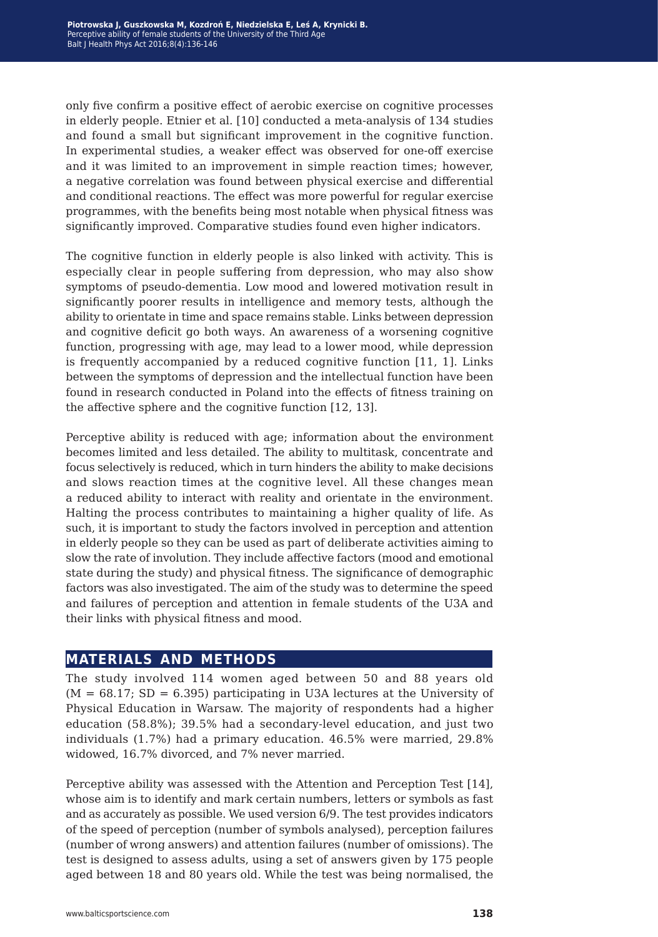only five confirm a positive effect of aerobic exercise on cognitive processes in elderly people. Etnier et al. [10] conducted a meta-analysis of 134 studies and found a small but significant improvement in the cognitive function. In experimental studies, a weaker effect was observed for one-off exercise and it was limited to an improvement in simple reaction times; however, a negative correlation was found between physical exercise and differential and conditional reactions. The effect was more powerful for regular exercise programmes, with the benefits being most notable when physical fitness was significantly improved. Comparative studies found even higher indicators.

The cognitive function in elderly people is also linked with activity. This is especially clear in people suffering from depression, who may also show symptoms of pseudo-dementia. Low mood and lowered motivation result in significantly poorer results in intelligence and memory tests, although the ability to orientate in time and space remains stable. Links between depression and cognitive deficit go both ways. An awareness of a worsening cognitive function, progressing with age, may lead to a lower mood, while depression is frequently accompanied by a reduced cognitive function [11, 1]. Links between the symptoms of depression and the intellectual function have been found in research conducted in Poland into the effects of fitness training on the affective sphere and the cognitive function [12, 13].

Perceptive ability is reduced with age; information about the environment becomes limited and less detailed. The ability to multitask, concentrate and focus selectively is reduced, which in turn hinders the ability to make decisions and slows reaction times at the cognitive level. All these changes mean a reduced ability to interact with reality and orientate in the environment. Halting the process contributes to maintaining a higher quality of life. As such, it is important to study the factors involved in perception and attention in elderly people so they can be used as part of deliberate activities aiming to slow the rate of involution. They include affective factors (mood and emotional state during the study) and physical fitness. The significance of demographic factors was also investigated. The aim of the study was to determine the speed and failures of perception and attention in female students of the U3A and their links with physical fitness and mood.

## **materials and methods**

The study involved 114 women aged between 50 and 88 years old  $(M = 68.17; SD = 6.395)$  participating in U3A lectures at the University of Physical Education in Warsaw. The majority of respondents had a higher education (58.8%); 39.5% had a secondary-level education, and just two individuals (1.7%) had a primary education. 46.5% were married, 29.8% widowed, 16.7% divorced, and 7% never married.

Perceptive ability was assessed with the Attention and Perception Test [14], whose aim is to identify and mark certain numbers, letters or symbols as fast and as accurately as possible. We used version 6/9. The test provides indicators of the speed of perception (number of symbols analysed), perception failures (number of wrong answers) and attention failures (number of omissions). The test is designed to assess adults, using a set of answers given by 175 people aged between 18 and 80 years old. While the test was being normalised, the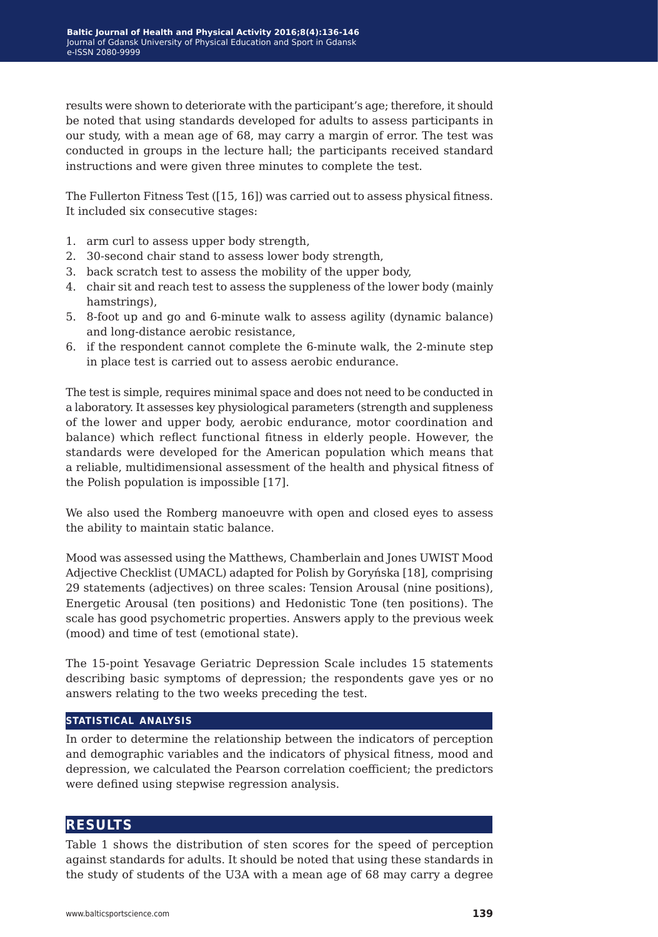results were shown to deteriorate with the participant's age; therefore, it should be noted that using standards developed for adults to assess participants in our study, with a mean age of 68, may carry a margin of error. The test was conducted in groups in the lecture hall; the participants received standard instructions and were given three minutes to complete the test.

The Fullerton Fitness Test ([15, 16]) was carried out to assess physical fitness. It included six consecutive stages:

- 1. arm curl to assess upper body strength,
- 2. 30-second chair stand to assess lower body strength,
- 3. back scratch test to assess the mobility of the upper body,
- 4. chair sit and reach test to assess the suppleness of the lower body (mainly hamstrings),
- 5. 8-foot up and go and 6-minute walk to assess agility (dynamic balance) and long-distance aerobic resistance,
- 6. if the respondent cannot complete the 6-minute walk, the 2-minute step in place test is carried out to assess aerobic endurance.

The test is simple, requires minimal space and does not need to be conducted in a laboratory. It assesses key physiological parameters (strength and suppleness of the lower and upper body, aerobic endurance, motor coordination and balance) which reflect functional fitness in elderly people. However, the standards were developed for the American population which means that a reliable, multidimensional assessment of the health and physical fitness of the Polish population is impossible [17].

We also used the Romberg manoeuvre with open and closed eyes to assess the ability to maintain static balance.

Mood was assessed using the Matthews, Chamberlain and Jones UWIST Mood Adjective Checklist (UMACL) adapted for Polish by Goryńska [18], comprising 29 statements (adjectives) on three scales: Tension Arousal (nine positions), Energetic Arousal (ten positions) and Hedonistic Tone (ten positions). The scale has good psychometric properties. Answers apply to the previous week (mood) and time of test (emotional state).

The 15-point Yesavage Geriatric Depression Scale includes 15 statements describing basic symptoms of depression; the respondents gave yes or no answers relating to the two weeks preceding the test.

### **statistical analysis**

In order to determine the relationship between the indicators of perception and demographic variables and the indicators of physical fitness, mood and depression, we calculated the Pearson correlation coefficient; the predictors were defined using stepwise regression analysis.

## **results**

Table 1 shows the distribution of sten scores for the speed of perception against standards for adults. It should be noted that using these standards in the study of students of the U3A with a mean age of 68 may carry a degree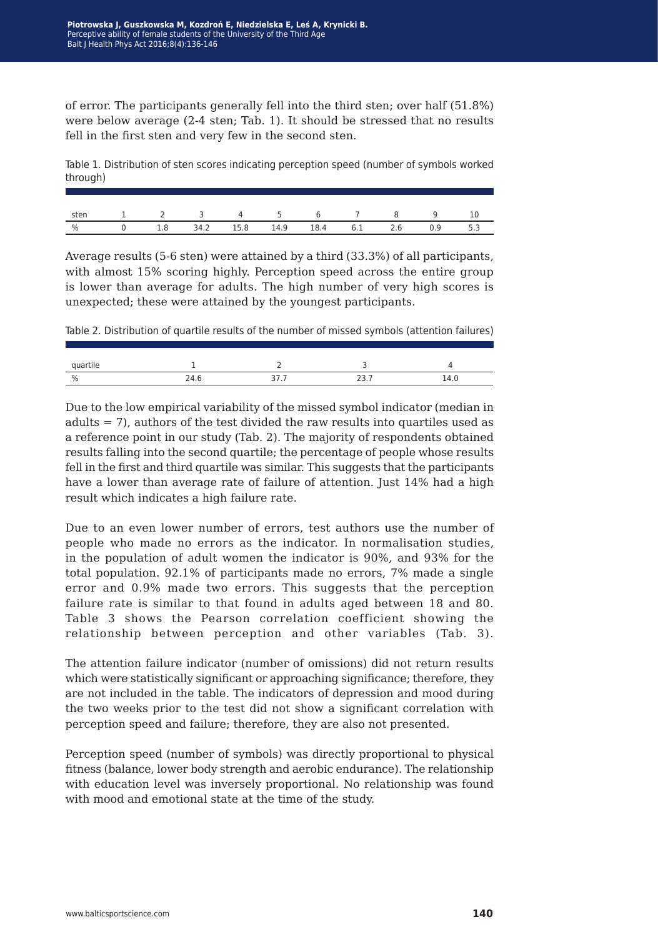of error. The participants generally fell into the third sten; over half (51.8%) were below average (2-4 sten; Tab. 1). It should be stressed that no results fell in the first sten and very few in the second sten.

Table 1. Distribution of sten scores indicating perception speed (number of symbols worked through)

| sten 1 2 3 4 5 6 7 8 9 10                   |  |  |  |  |  |
|---------------------------------------------|--|--|--|--|--|
| % 0 1.8 34.2 15.8 14.9 18.4 6.1 2.6 0.9 5.3 |  |  |  |  |  |

Average results (5-6 sten) were attained by a third (33.3%) of all participants, with almost 15% scoring highly. Perception speed across the entire group is lower than average for adults. The high number of very high scores is unexpected; these were attained by the youngest participants.

Table 2. Distribution of quartile results of the number of missed symbols (attention failures)

| tıle |     |        |            |
|------|-----|--------|------------|
| $\%$ | , , | ◡<br>. | <b>T.V</b> |

Due to the low empirical variability of the missed symbol indicator (median in adults = 7), authors of the test divided the raw results into quartiles used as a reference point in our study (Tab. 2). The majority of respondents obtained results falling into the second quartile; the percentage of people whose results fell in the first and third quartile was similar. This suggests that the participants have a lower than average rate of failure of attention. Just 14% had a high result which indicates a high failure rate.

Due to an even lower number of errors, test authors use the number of people who made no errors as the indicator. In normalisation studies, in the population of adult women the indicator is 90%, and 93% for the total population. 92.1% of participants made no errors, 7% made a single error and 0.9% made two errors. This suggests that the perception failure rate is similar to that found in adults aged between 18 and 80. Table 3 shows the Pearson correlation coefficient showing the relationship between perception and other variables (Tab. 3).

The attention failure indicator (number of omissions) did not return results which were statistically significant or approaching significance; therefore, they are not included in the table. The indicators of depression and mood during the two weeks prior to the test did not show a significant correlation with perception speed and failure; therefore, they are also not presented.

Perception speed (number of symbols) was directly proportional to physical fitness (balance, lower body strength and aerobic endurance). The relationship with education level was inversely proportional. No relationship was found with mood and emotional state at the time of the study.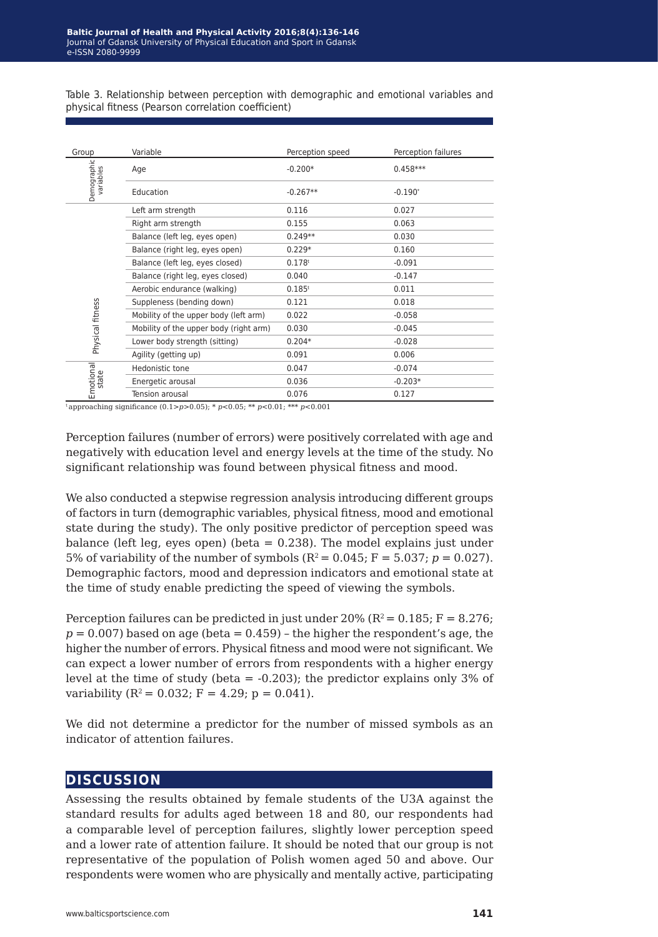Table 3. Relationship between perception with demographic and emotional variables and physical fitness (Pearson correlation coefficient)

| Group                    | Variable                               | Perception speed     | Perception failures |  |
|--------------------------|----------------------------------------|----------------------|---------------------|--|
| Demographic<br>variables | Age                                    | $-0.200*$            | $0.458***$          |  |
|                          | Education                              | $-0.267**$           | $-0.190*$           |  |
|                          | Left arm strength                      | 0.116                | 0.027               |  |
|                          | Right arm strength                     | 0.155                | 0.063               |  |
|                          | Balance (left leg, eyes open)          | $0.249**$            | 0.030               |  |
|                          | Balance (right leg, eyes open)         | $0.229*$             | 0.160               |  |
|                          | Balance (left leg, eyes closed)        | 0.178 <sup>t</sup>   | $-0.091$            |  |
|                          | Balance (right leg, eyes closed)       | 0.040                | $-0.147$            |  |
|                          | Aerobic endurance (walking)            | $0.185$ <sup>t</sup> | 0.011               |  |
|                          | Suppleness (bending down)              | 0.121                | 0.018               |  |
| Physical fitness         | Mobility of the upper body (left arm)  | 0.022                | $-0.058$            |  |
|                          | Mobility of the upper body (right arm) | 0.030                | $-0.045$            |  |
|                          | Lower body strength (sitting)          | $0.204*$             | $-0.028$            |  |
|                          | Agility (getting up)                   | 0.091                | 0.006               |  |
| Emotional                | Hedonistic tone                        | 0.047                | $-0.074$            |  |
|                          | Energetic arousal                      | 0.036                | $-0.203*$           |  |
|                          | Tension arousal                        | 0.076                | 0.127               |  |

 $\frac{1}{2}$  approaching significance  $(0.1> p>0.05)$ ; \*  $p<0.05$ ; \*\*  $p<0.01$ ; \*\*\*  $p<0.001$ 

Perception failures (number of errors) were positively correlated with age and negatively with education level and energy levels at the time of the study. No significant relationship was found between physical fitness and mood.

We also conducted a stepwise regression analysis introducing different groups of factors in turn (demographic variables, physical fitness, mood and emotional state during the study). The only positive predictor of perception speed was balance (left leg, eyes open) (beta  $= 0.238$ ). The model explains just under 5% of variability of the number of symbols  $(R^2 = 0.045; F = 5.037; p = 0.027)$ . Demographic factors, mood and depression indicators and emotional state at the time of study enable predicting the speed of viewing the symbols.

Perception failures can be predicted in just under 20% ( $R^2 = 0.185$ ; F = 8.276;  $p = 0.007$ ) based on age (beta  $= 0.459$ ) – the higher the respondent's age, the higher the number of errors. Physical fitness and mood were not significant. We can expect a lower number of errors from respondents with a higher energy level at the time of study (beta = -0.203); the predictor explains only 3% of variability  $(R^2 = 0.032; F = 4.29; p = 0.041)$ .

We did not determine a predictor for the number of missed symbols as an indicator of attention failures.

## **discussion**

Assessing the results obtained by female students of the U3A against the standard results for adults aged between 18 and 80, our respondents had a comparable level of perception failures, slightly lower perception speed and a lower rate of attention failure. It should be noted that our group is not representative of the population of Polish women aged 50 and above. Our respondents were women who are physically and mentally active, participating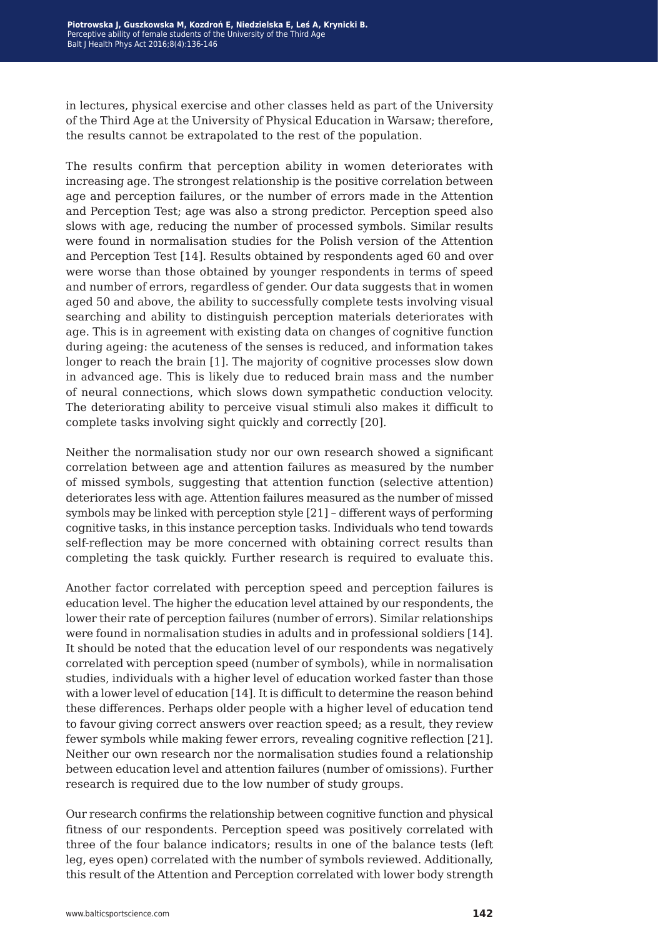in lectures, physical exercise and other classes held as part of the University of the Third Age at the University of Physical Education in Warsaw; therefore, the results cannot be extrapolated to the rest of the population.

The results confirm that perception ability in women deteriorates with increasing age. The strongest relationship is the positive correlation between age and perception failures, or the number of errors made in the Attention and Perception Test; age was also a strong predictor. Perception speed also slows with age, reducing the number of processed symbols. Similar results were found in normalisation studies for the Polish version of the Attention and Perception Test [14]. Results obtained by respondents aged 60 and over were worse than those obtained by younger respondents in terms of speed and number of errors, regardless of gender. Our data suggests that in women aged 50 and above, the ability to successfully complete tests involving visual searching and ability to distinguish perception materials deteriorates with age. This is in agreement with existing data on changes of cognitive function during ageing: the acuteness of the senses is reduced, and information takes longer to reach the brain [1]. The majority of cognitive processes slow down in advanced age. This is likely due to reduced brain mass and the number of neural connections, which slows down sympathetic conduction velocity. The deteriorating ability to perceive visual stimuli also makes it difficult to complete tasks involving sight quickly and correctly [20].

Neither the normalisation study nor our own research showed a significant correlation between age and attention failures as measured by the number of missed symbols, suggesting that attention function (selective attention) deteriorates less with age. Attention failures measured as the number of missed symbols may be linked with perception style [21] – different ways of performing cognitive tasks, in this instance perception tasks. Individuals who tend towards self-reflection may be more concerned with obtaining correct results than completing the task quickly. Further research is required to evaluate this.

Another factor correlated with perception speed and perception failures is education level. The higher the education level attained by our respondents, the lower their rate of perception failures (number of errors). Similar relationships were found in normalisation studies in adults and in professional soldiers [14]. It should be noted that the education level of our respondents was negatively correlated with perception speed (number of symbols), while in normalisation studies, individuals with a higher level of education worked faster than those with a lower level of education [14]. It is difficult to determine the reason behind these differences. Perhaps older people with a higher level of education tend to favour giving correct answers over reaction speed; as a result, they review fewer symbols while making fewer errors, revealing cognitive reflection [21]. Neither our own research nor the normalisation studies found a relationship between education level and attention failures (number of omissions). Further research is required due to the low number of study groups.

Our research confirms the relationship between cognitive function and physical fitness of our respondents. Perception speed was positively correlated with three of the four balance indicators; results in one of the balance tests (left leg, eyes open) correlated with the number of symbols reviewed. Additionally, this result of the Attention and Perception correlated with lower body strength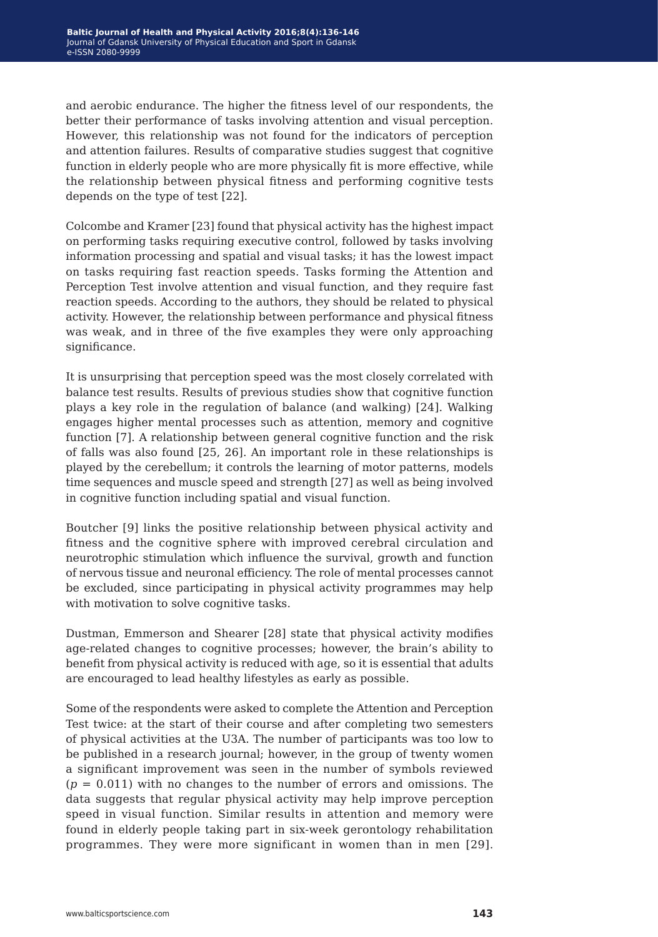and aerobic endurance. The higher the fitness level of our respondents, the better their performance of tasks involving attention and visual perception. However, this relationship was not found for the indicators of perception and attention failures. Results of comparative studies suggest that cognitive function in elderly people who are more physically fit is more effective, while the relationship between physical fitness and performing cognitive tests depends on the type of test [22].

Colcombe and Kramer [23] found that physical activity has the highest impact on performing tasks requiring executive control, followed by tasks involving information processing and spatial and visual tasks; it has the lowest impact on tasks requiring fast reaction speeds. Tasks forming the Attention and Perception Test involve attention and visual function, and they require fast reaction speeds. According to the authors, they should be related to physical activity. However, the relationship between performance and physical fitness was weak, and in three of the five examples they were only approaching significance.

It is unsurprising that perception speed was the most closely correlated with balance test results. Results of previous studies show that cognitive function plays a key role in the regulation of balance (and walking) [24]. Walking engages higher mental processes such as attention, memory and cognitive function [7]. A relationship between general cognitive function and the risk of falls was also found [25, 26]. An important role in these relationships is played by the cerebellum; it controls the learning of motor patterns, models time sequences and muscle speed and strength [27] as well as being involved in cognitive function including spatial and visual function.

Boutcher [9] links the positive relationship between physical activity and fitness and the cognitive sphere with improved cerebral circulation and neurotrophic stimulation which influence the survival, growth and function of nervous tissue and neuronal efficiency. The role of mental processes cannot be excluded, since participating in physical activity programmes may help with motivation to solve cognitive tasks.

Dustman, Emmerson and Shearer [28] state that physical activity modifies age-related changes to cognitive processes; however, the brain's ability to benefit from physical activity is reduced with age, so it is essential that adults are encouraged to lead healthy lifestyles as early as possible.

Some of the respondents were asked to complete the Attention and Perception Test twice: at the start of their course and after completing two semesters of physical activities at the U3A. The number of participants was too low to be published in a research journal; however, in the group of twenty women a significant improvement was seen in the number of symbols reviewed  $(p = 0.011)$  with no changes to the number of errors and omissions. The data suggests that regular physical activity may help improve perception speed in visual function. Similar results in attention and memory were found in elderly people taking part in six-week gerontology rehabilitation programmes. They were more significant in women than in men [29].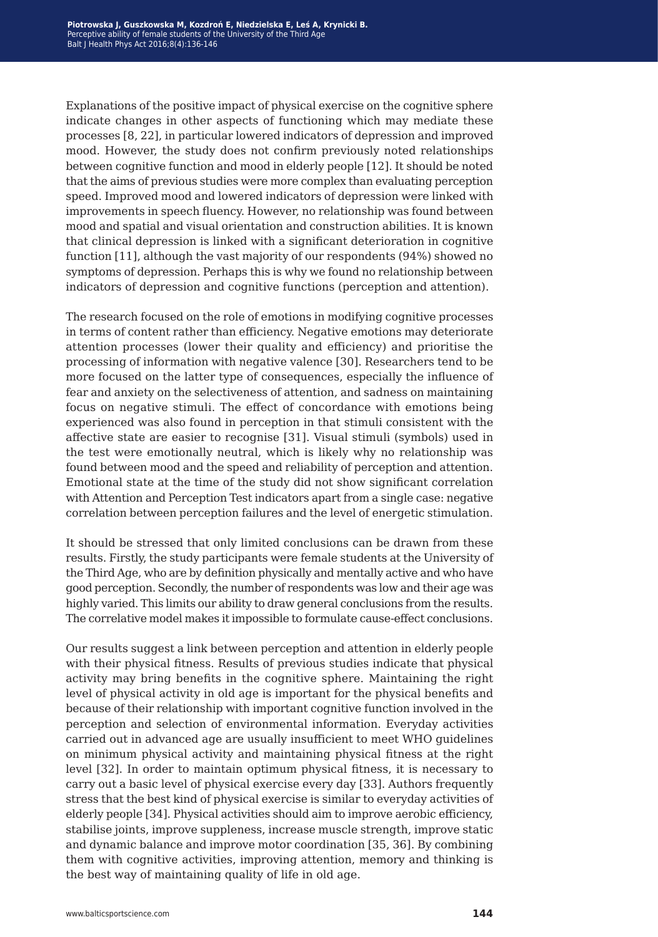Explanations of the positive impact of physical exercise on the cognitive sphere indicate changes in other aspects of functioning which may mediate these processes [8, 22], in particular lowered indicators of depression and improved mood. However, the study does not confirm previously noted relationships between cognitive function and mood in elderly people [12]. It should be noted that the aims of previous studies were more complex than evaluating perception speed. Improved mood and lowered indicators of depression were linked with improvements in speech fluency. However, no relationship was found between mood and spatial and visual orientation and construction abilities. It is known that clinical depression is linked with a significant deterioration in cognitive function [11], although the vast majority of our respondents (94%) showed no symptoms of depression. Perhaps this is why we found no relationship between indicators of depression and cognitive functions (perception and attention).

The research focused on the role of emotions in modifying cognitive processes in terms of content rather than efficiency. Negative emotions may deteriorate attention processes (lower their quality and efficiency) and prioritise the processing of information with negative valence [30]. Researchers tend to be more focused on the latter type of consequences, especially the influence of fear and anxiety on the selectiveness of attention, and sadness on maintaining focus on negative stimuli. The effect of concordance with emotions being experienced was also found in perception in that stimuli consistent with the affective state are easier to recognise [31]. Visual stimuli (symbols) used in the test were emotionally neutral, which is likely why no relationship was found between mood and the speed and reliability of perception and attention. Emotional state at the time of the study did not show significant correlation with Attention and Perception Test indicators apart from a single case: negative correlation between perception failures and the level of energetic stimulation.

It should be stressed that only limited conclusions can be drawn from these results. Firstly, the study participants were female students at the University of the Third Age, who are by definition physically and mentally active and who have good perception. Secondly, the number of respondents was low and their age was highly varied. This limits our ability to draw general conclusions from the results. The correlative model makes it impossible to formulate cause-effect conclusions.

Our results suggest a link between perception and attention in elderly people with their physical fitness. Results of previous studies indicate that physical activity may bring benefits in the cognitive sphere. Maintaining the right level of physical activity in old age is important for the physical benefits and because of their relationship with important cognitive function involved in the perception and selection of environmental information. Everyday activities carried out in advanced age are usually insufficient to meet WHO guidelines on minimum physical activity and maintaining physical fitness at the right level [32]. In order to maintain optimum physical fitness, it is necessary to carry out a basic level of physical exercise every day [33]. Authors frequently stress that the best kind of physical exercise is similar to everyday activities of elderly people [34]. Physical activities should aim to improve aerobic efficiency, stabilise joints, improve suppleness, increase muscle strength, improve static and dynamic balance and improve motor coordination [35, 36]. By combining them with cognitive activities, improving attention, memory and thinking is the best way of maintaining quality of life in old age.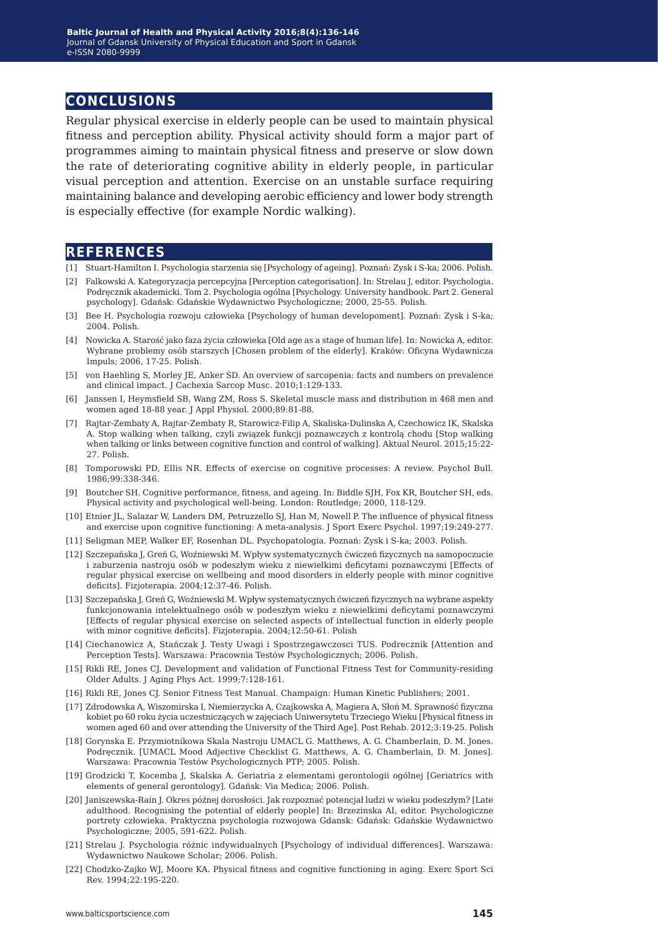## **conclusions**

Regular physical exercise in elderly people can be used to maintain physical fitness and perception ability. Physical activity should form a major part of programmes aiming to maintain physical fitness and preserve or slow down the rate of deteriorating cognitive ability in elderly people, in particular visual perception and attention. Exercise on an unstable surface requiring maintaining balance and developing aerobic efficiency and lower body strength is especially effective (for example Nordic walking).

### **references**

- [1] Stuart-Hamilton I. Psychologia starzenia się [Psychology of ageing]. Poznań: Zysk i S-ka; 2006. Polish.
- [2] Falkowski A. Kategoryzacja percepcyjna [Perception categorisation]. In: Strelau J, editor. Psychologia. Podręcznik akademicki. Tom 2. Psychologia ogólna [Psychology. University handbook. Part 2. General psychology]. Gdańsk: Gdańskie Wydawnictwo Psychologiczne; 2000, 25-55. Polish.
- [3] Bee H. Psychologia rozwoju człowieka [Psychology of human developoment]. Poznań: Zysk i S-ka; 2004. Polish.
- [4] Nowicka A. Starość jako faza życia człowieka [Old age as a stage of human life]. In: Nowicka A, editor. Wybrane problemy osób starszych [Chosen problem of the elderly]. Kraków: Oficyna Wydawnicza Impuls; 2006, 17-25. Polish.
- [5] von Haehling S, Morley JE, Anker SD. An overview of sarcopenia: facts and numbers on prevalence and clinical impact. J Cachexia Sarcop Musc. 2010;1:129-133.
- [6] Janssen I, Heymsfield SB, Wang ZM, Ross S. Skeletal muscle mass and distribution in 468 men and women aged 18-88 year. J Appl Physiol. 2000;89:81-88.
- [7] Rajtar-Zembaty A, Rajtar-Zembaty R, Starowicz-Filip A, Skaliska-Dulinska A, Czechowicz IK, Skalska A. Stop walking when talking, czyli związek funkcji poznawczych z kontrolą chodu [Stop walking when talking or links between cognitive function and control of walking]. Aktual Neurol. 2015;15:22- 27. Polish.
- [8] Tomporowski PD, Ellis NR. Effects of exercise on cognitive processes: A review. Psychol Bull. 1986;99:338-346.
- [9] Boutcher SH. Cognitive performance, fitness, and ageing. In: Biddle SJH, Fox KR, Boutcher SH, eds. Physical activity and psychological well-being. London: Routledge; 2000, 118-129.
- [10] Etnier JL, Salazar W, Landers DM, Petruzzello SJ, Han M, Nowell P. The influence of physical fitness and exercise upon cognitive functioning: A meta-analysis. J Sport Exerc Psychol. 1997;19:249-277.
- [11] Seligman MEP, Walker EF, Rosenhan DL. Psychopatologia. Poznań: Zysk i S-ka; 2003. Polish.
- [12] Szczepańska J, Greń G, Woźniewski M. Wpływ systematycznych ćwiczeń fizycznych na samopoczucie i zaburzenia nastroju osób w podeszłym wieku z niewielkimi deficytami poznawczymi [Effects of regular physical exercise on wellbeing and mood disorders in elderly people with minor cognitive deficits]. Fizjoterapia. 2004;12:37-46. Polish.
- [13] Szczepańska J, Greń G, Woźniewski M. Wpływ systematycznych ćwiczeń fizycznych na wybrane aspekty funkcjonowania intelektualnego osób w podeszłym wieku z niewielkimi deficytami poznawczymi [Effects of regular physical exercise on selected aspects of intellectual function in elderly people with minor cognitive deficits]. Fizjoterapia. 2004;12:50-61. Polish
- [14] Ciechanowicz A, Stańczak J. Testy Uwagi i Spostrzegawczosci TUS. Podrecznik [Attention and Perception Tests]. Warszawa: Pracownia Testów Psychologicznych; 2006. Polish.
- [15] Rikli RE, Jones CJ. Development and validation of Functional Fitness Test for Community-residing Older Adults. J Aging Phys Act. 1999;7:128-161.
- [16] Rikli RE, Jones CJ. Senior Fitness Test Manual. Champaign: Human Kinetic Publishers; 2001.
- [17] Zdrodowska A, Wiszomirska I, Niemierzycka A, Czajkowska A, Magiera A, Słoń M. Sprawność fizyczna kobiet po 60 roku życia uczestniczących w zajęciach Uniwersytetu Trzeciego Wieku [Physical fitness in women aged 60 and over attending the University of the Third Age]. Post Rehab. 2012;3:19-25. Polish
- [18] Gorynska E. Przymiotnikowa Skala Nastroju UMACL G. Matthews, A. G. Chamberlain, D. M. Jones. Podręcznik. [UMACL Mood Adjective Checklist G. Matthews, A. G. Chamberlain, D. M. Jones]. Warszawa: Pracownia Testów Psychologicznych PTP; 2005. Polish.
- [19] Grodzicki T, Kocemba J, Skalska A. Geriatria z elementami gerontologii ogólnej [Geriatrics with elements of general gerontology]. Gdańsk: Via Medica; 2006. Polish.
- [20] Janiszewska-Rain J. Okres późnej dorosłości. Jak rozpoznać potencjał ludzi w wieku podeszłym? [Late adulthood. Recognising the potential of elderly people] In: Brzezinska AI, editor. Psychologiczne portrety człowieka. Praktyczna psychologia rozwojowa Gdansk: Gdańsk: Gdańskie Wydawnictwo Psychologiczne; 2005, 591-622. Polish.
- [21] Strelau J. Psychologia różnic indywidualnych [Psychology of individual differences]. Warszawa: Wydawnictwo Naukowe Scholar; 2006. Polish.
- [22] Chodzko-Zajko WJ, Moore KA. Physical fitness and cognitive functioning in aging. Exerc Sport Sci Rev. 1994;22:195-220.